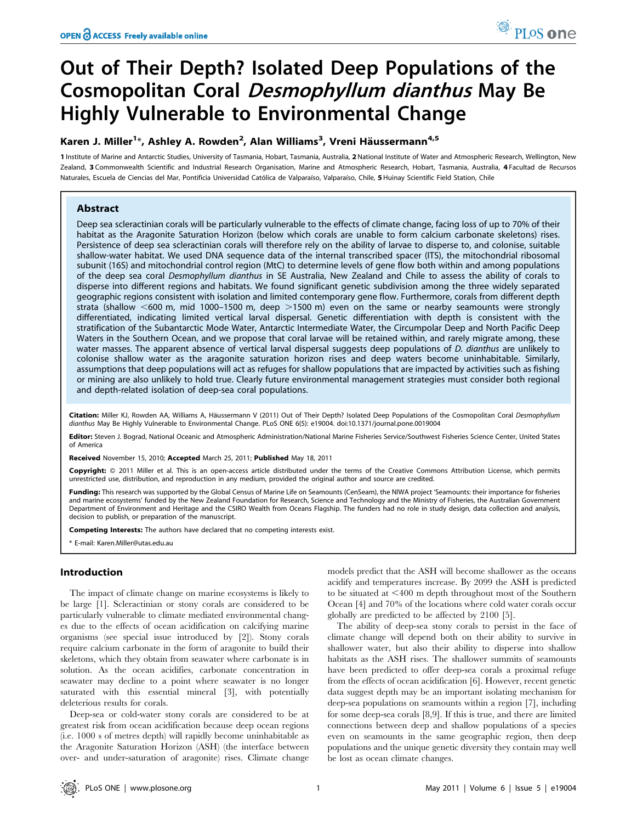# Out of Their Depth? Isolated Deep Populations of the Cosmopolitan Coral Desmophyllum dianthus May Be Highly Vulnerable to Environmental Change

# Karen J. Miller<sup>1</sup>\*, Ashley A. Rowden<sup>2</sup>, Alan Williams<sup>3</sup>, Vreni Häussermann<sup>4,5</sup>

1 Institute of Marine and Antarctic Studies, University of Tasmania, Hobart, Tasmania, Australia, 2 National Institute of Water and Atmospheric Research, Wellington, New Zealand, 3 Commonwealth Scientific and Industrial Research Organisation, Marine and Atmospheric Research, Hobart, Tasmania, Australia, 4 Facultad de Recursos Naturales, Escuela de Ciencias del Mar, Pontificia Universidad Católica de Valparaíso, Valparaíso, Chile, 5 Huinay Scientific Field Station, Chile

# Abstract

Deep sea scleractinian corals will be particularly vulnerable to the effects of climate change, facing loss of up to 70% of their habitat as the Aragonite Saturation Horizon (below which corals are unable to form calcium carbonate skeletons) rises. Persistence of deep sea scleractinian corals will therefore rely on the ability of larvae to disperse to, and colonise, suitable shallow-water habitat. We used DNA sequence data of the internal transcribed spacer (ITS), the mitochondrial ribosomal subunit (16S) and mitochondrial control region (MtC) to determine levels of gene flow both within and among populations of the deep sea coral Desmophyllum dianthus in SE Australia, New Zealand and Chile to assess the ability of corals to disperse into different regions and habitats. We found significant genetic subdivision among the three widely separated geographic regions consistent with isolation and limited contemporary gene flow. Furthermore, corals from different depth strata (shallow  $<$ 600 m, mid 1000–1500 m, deep  $>$ 1500 m) even on the same or nearby seamounts were strongly differentiated, indicating limited vertical larval dispersal. Genetic differentiation with depth is consistent with the stratification of the Subantarctic Mode Water, Antarctic Intermediate Water, the Circumpolar Deep and North Pacific Deep Waters in the Southern Ocean, and we propose that coral larvae will be retained within, and rarely migrate among, these water masses. The apparent absence of vertical larval dispersal suggests deep populations of D. dianthus are unlikely to colonise shallow water as the aragonite saturation horizon rises and deep waters become uninhabitable. Similarly, assumptions that deep populations will act as refuges for shallow populations that are impacted by activities such as fishing or mining are also unlikely to hold true. Clearly future environmental management strategies must consider both regional and depth-related isolation of deep-sea coral populations.

Citation: Miller KJ, Rowden AA, Williams A, Häussermann V (2011) Out of Their Depth? Isolated Deep Populations of the Cosmopolitan Coral Desmophyllum dianthus May Be Highly Vulnerable to Environmental Change. PLoS ONE 6(5): e19004. doi:10.1371/journal.pone.0019004

Editor: Steven J. Bograd, National Oceanic and Atmospheric Administration/National Marine Fisheries Service/Southwest Fisheries Science Center, United States of America

Received November 15, 2010; Accepted March 25, 2011; Published May 18, 2011

Copyright: © 2011 Miller et al. This is an open-access article distributed under the terms of the Creative Commons Attribution License, which permits unrestricted use, distribution, and reproduction in any medium, provided the original author and source are credited.

**Funding:** This research was supported by the Global Census of Marine Life on Seamounts (CenSeam), the NIWA project 'Seamounts: their importance for fisheries and marine ecosystems' funded by the New Zealand Foundation for Research, Science and Technology and the Ministry of Fisheries, the Australian Government Department of Environment and Heritage and the CSIRO Wealth from Oceans Flagship. The funders had no role in study design, data collection and analysis, decision to publish, or preparation of the manuscript.

Competing Interests: The authors have declared that no competing interests exist.

\* E-mail: Karen.Miller@utas.edu.au

# Introduction

The impact of climate change on marine ecosystems is likely to be large [1]. Scleractinian or stony corals are considered to be particularly vulnerable to climate mediated environmental changes due to the effects of ocean acidification on calcifying marine organisms (see special issue introduced by [2]). Stony corals require calcium carbonate in the form of aragonite to build their skeletons, which they obtain from seawater where carbonate is in solution. As the ocean acidifies, carbonate concentration in seawater may decline to a point where seawater is no longer saturated with this essential mineral [3], with potentially deleterious results for corals.

Deep-sea or cold-water stony corals are considered to be at greatest risk from ocean acidification because deep ocean regions (i.e. 1000 s of metres depth) will rapidly become uninhabitable as the Aragonite Saturation Horizon (ASH) (the interface between over- and under-saturation of aragonite) rises. Climate change

models predict that the ASH will become shallower as the oceans acidify and temperatures increase. By 2099 the ASH is predicted to be situated at  $\leq 400$  m depth throughout most of the Southern Ocean [4] and 70% of the locations where cold water corals occur globally are predicted to be affected by 2100 [5].

The ability of deep-sea stony corals to persist in the face of climate change will depend both on their ability to survive in shallower water, but also their ability to disperse into shallow habitats as the ASH rises. The shallower summits of seamounts have been predicted to offer deep-sea corals a proximal refuge from the effects of ocean acidification [6]. However, recent genetic data suggest depth may be an important isolating mechanism for deep-sea populations on seamounts within a region [7], including for some deep-sea corals [8,9]. If this is true, and there are limited connections between deep and shallow populations of a species even on seamounts in the same geographic region, then deep populations and the unique genetic diversity they contain may well be lost as ocean climate changes.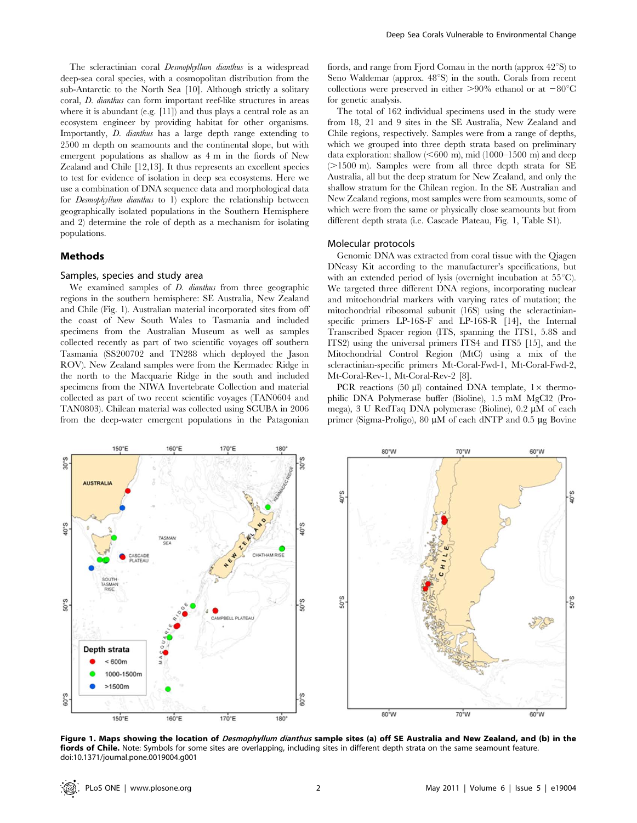The scleractinian coral Desmophyllum dianthus is a widespread deep-sea coral species, with a cosmopolitan distribution from the sub-Antarctic to the North Sea [10]. Although strictly a solitary coral, D. dianthus can form important reef-like structures in areas where it is abundant (e.g. [11]) and thus plays a central role as an ecosystem engineer by providing habitat for other organisms. Importantly, *D. dianthus* has a large depth range extending to 2500 m depth on seamounts and the continental slope, but with emergent populations as shallow as 4 m in the fiords of New Zealand and Chile [12,13]. It thus represents an excellent species to test for evidence of isolation in deep sea ecosystems. Here we use a combination of DNA sequence data and morphological data for Desmophyllum dianthus to 1) explore the relationship between geographically isolated populations in the Southern Hemisphere and 2) determine the role of depth as a mechanism for isolating populations.

## Methods

### Samples, species and study area

We examined samples of *D. dianthus* from three geographic regions in the southern hemisphere: SE Australia, New Zealand and Chile (Fig. 1). Australian material incorporated sites from off the coast of New South Wales to Tasmania and included specimens from the Australian Museum as well as samples collected recently as part of two scientific voyages off southern Tasmania (SS200702 and TN288 which deployed the Jason ROV). New Zealand samples were from the Kermadec Ridge in the north to the Macquarie Ridge in the south and included specimens from the NIWA Invertebrate Collection and material collected as part of two recent scientific voyages (TAN0604 and TAN0803). Chilean material was collected using SCUBA in 2006 from the deep-water emergent populations in the Patagonian fiords, and range from Fjord Comau in the north (approx  $42^{\circ}$ S) to Seno Waldemar (approx.  $48^{\circ}$ S) in the south. Corals from recent collections were preserved in either  $>90\%$  ethanol or at  $-80^{\circ}$ C for genetic analysis.

The total of 162 individual specimens used in the study were from 18, 21 and 9 sites in the SE Australia, New Zealand and Chile regions, respectively. Samples were from a range of depths, which we grouped into three depth strata based on preliminary data exploration: shallow  $(<600 \text{ m})$ , mid (1000–1500 m) and deep  $(>1500 \text{ m})$ . Samples were from all three depth strata for SE Australia, all but the deep stratum for New Zealand, and only the shallow stratum for the Chilean region. In the SE Australian and New Zealand regions, most samples were from seamounts, some of which were from the same or physically close seamounts but from different depth strata (i.e. Cascade Plateau, Fig. 1, Table S1).

## Molecular protocols

Genomic DNA was extracted from coral tissue with the Qiagen DNeasy Kit according to the manufacturer's specifications, but with an extended period of lysis (overnight incubation at  $55^{\circ}$ C). We targeted three different DNA regions, incorporating nuclear and mitochondrial markers with varying rates of mutation; the mitochondrial ribosomal subunit (16S) using the scleractinianspecific primers LP-16S-F and LP-16S-R [14], the Internal Transcribed Spacer region (ITS, spanning the ITS1, 5.8S and ITS2) using the universal primers ITS4 and ITS5 [15], and the Mitochondrial Control Region (MtC) using a mix of the scleractinian-specific primers Mt-Coral-Fwd-1, Mt-Coral-Fwd-2, Mt-Coral-Rev-1, Mt-Coral-Rev-2 [8].

PCR reactions (50  $\mu$ l) contained DNA template, 1 $\times$  thermophilic DNA Polymerase buffer (Bioline), 1.5 mM MgCl2 (Promega), 3 U RedTaq DNA polymerase (Bioline),  $0.2 \mu M$  of each primer (Sigma-Proligo), 80  $\mu$ M of each dNTP and 0.5  $\mu$ g Bovine



Figure 1. Maps showing the location of Desmophyllum dianthus sample sites (a) off SE Australia and New Zealand, and (b) in the fiords of Chile. Note: Symbols for some sites are overlapping, including sites in different depth strata on the same seamount feature. doi:10.1371/journal.pone.0019004.g001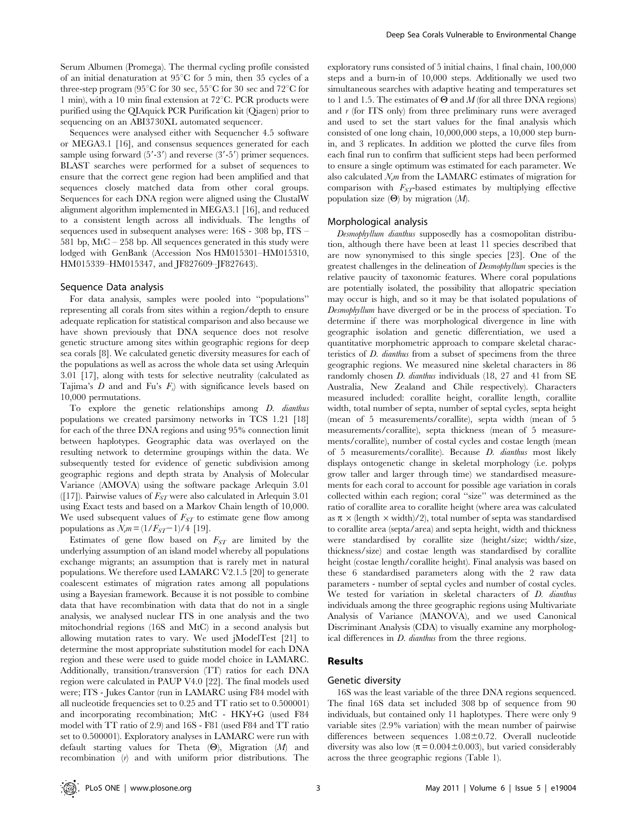Serum Albumen (Promega). The thermal cycling profile consisted of an initial denaturation at  $95^{\circ}$ C for 5 min, then 35 cycles of a three-step program (95 $\mathrm{^{\circ}C}$  for 30 sec, 55 $\mathrm{^{\circ}C}$  for 30 sec and 72 $\mathrm{^{\circ}C}$  for 1 min), with a 10 min final extension at  $72^{\circ}$ C. PCR products were purified using the QIAquick PCR Purification kit (Qiagen) prior to sequencing on an ABI3730XL automated sequencer.

Sequences were analysed either with Sequencher 4.5 software or MEGA3.1 [16], and consensus sequences generated for each sample using forward  $(5'$ -3') and reverse  $(3'-5')$  primer sequences. BLAST searches were performed for a subset of sequences to ensure that the correct gene region had been amplified and that sequences closely matched data from other coral groups. Sequences for each DNA region were aligned using the ClustalW alignment algorithm implemented in MEGA3.1 [16], and reduced to a consistent length across all individuals. The lengths of sequences used in subsequent analyses were: 16S - 308 bp, ITS – 581 bp, MtC – 258 bp. All sequences generated in this study were lodged with GenBank (Accession Nos HM015301–HM015310, HM015339–HM015347, and JF827609–JF827643).

## Sequence Data analysis

For data analysis, samples were pooled into ''populations'' representing all corals from sites within a region/depth to ensure adequate replication for statistical comparison and also because we have shown previously that DNA sequence does not resolve genetic structure among sites within geographic regions for deep sea corals [8]. We calculated genetic diversity measures for each of the populations as well as across the whole data set using Arlequin 3.01 [17], along with tests for selective neutrality (calculated as Tajima's  $D$  and and Fu's  $F_s$ ) with significance levels based on 10,000 permutations.

To explore the genetic relationships among D. dianthus populations we created parsimony networks in TCS 1.21 [18] for each of the three DNA regions and using 95% connection limit between haplotypes. Geographic data was overlayed on the resulting network to determine groupings within the data. We subsequently tested for evidence of genetic subdivision among geographic regions and depth strata by Analysis of Molecular Variance (AMOVA) using the software package Arlequin 3.01 ([17]). Pairwise values of  $F_{ST}$  were also calculated in Arlequin 3.01 using Exact tests and based on a Markov Chain length of 10,000. We used subsequent values of  $F_{ST}$  to estimate gene flow among populations as  $\mathcal{N}_{e}m = (1/F_{ST}-1)/4$  [19].

Estimates of gene flow based on  $F_{ST}$  are limited by the underlying assumption of an island model whereby all populations exchange migrants; an assumption that is rarely met in natural populations. We therefore used LAMARC V2.1.5 [20] to generate coalescent estimates of migration rates among all populations using a Bayesian framework. Because it is not possible to combine data that have recombination with data that do not in a single analysis, we analysed nuclear ITS in one analysis and the two mitochondrial regions (16S and MtC) in a second analysis but allowing mutation rates to vary. We used jModelTest [21] to determine the most appropriate substitution model for each DNA region and these were used to guide model choice in LAMARC. Additionally, transition/transversion (TT) ratios for each DNA region were calculated in PAUP V4.0 [22]. The final models used were; ITS - Jukes Cantor (run in LAMARC using F84 model with all nucleotide frequencies set to 0.25 and TT ratio set to 0.500001) and incorporating recombination; MtC - HKY+G (used F84 model with TT ratio of 2.9) and 16S - F81 (used F84 and TT ratio set to 0.500001). Exploratory analyses in LAMARC were run with default starting values for Theta  $(\Theta)$ , Migration  $(M)$  and recombination  $(r)$  and with uniform prior distributions. The

exploratory runs consisted of 5 initial chains, 1 final chain, 100,000 steps and a burn-in of 10,000 steps. Additionally we used two simultaneous searches with adaptive heating and temperatures set to 1 and 1.5. The estimates of  $\Theta$  and M (for all three DNA regions) and r (for ITS only) from three preliminary runs were averaged and used to set the start values for the final analysis which consisted of one long chain, 10,000,000 steps, a 10,000 step burnin, and 3 replicates. In addition we plotted the curve files from each final run to confirm that sufficient steps had been performed to ensure a single optimum was estimated for each parameter. We also calculated  $N<sub>e</sub>m$  from the LAMARC estimates of migration for comparison with  $F_{ST}$ -based estimates by multiplying effective population size  $(\Theta)$  by migration  $(M)$ .

#### Morphological analysis

Desmophyllum dianthus supposedly has a cosmopolitan distribution, although there have been at least 11 species described that are now synonymised to this single species [23]. One of the greatest challenges in the delineation of Desmophyllum species is the relative paucity of taxonomic features. Where coral populations are potentially isolated, the possibility that allopatric speciation may occur is high, and so it may be that isolated populations of Desmophyllum have diverged or be in the process of speciation. To determine if there was morphological divergence in line with geographic isolation and genetic differentiation, we used a quantitative morphometric approach to compare skeletal characteristics of D. dianthus from a subset of specimens from the three geographic regions. We measured nine skeletal characters in 86 randomly chosen D. dianthus individuals (18, 27 and 41 from SE Australia, New Zealand and Chile respectively). Characters measured included: corallite height, corallite length, corallite width, total number of septa, number of septal cycles, septa height (mean of 5 measurements/corallite), septa width (mean of 5 measurements/corallite), septa thickness (mean of 5 measurements/corallite), number of costal cycles and costae length (mean of 5 measurements/corallite). Because D. dianthus most likely displays ontogenetic change in skeletal morphology (i.e. polyps grow taller and larger through time) we standardised measurements for each coral to account for possible age variation in corals collected within each region; coral ''size'' was determined as the ratio of corallite area to corallite height (where area was calculated as  $\pi \times$  (length  $\times$  width)/2), total number of septa was standardised to corallite area (septa/area) and septa height, width and thickness were standardised by corallite size (height/size; width/size, thickness/size) and costae length was standardised by corallite height (costae length/corallite height). Final analysis was based on these 6 standardised parameters along with the 2 raw data parameters - number of septal cycles and number of costal cycles. We tested for variation in skeletal characters of D. dianthus individuals among the three geographic regions using Multivariate Analysis of Variance (MANOVA), and we used Canonical Discriminant Analysis (CDA) to visually examine any morphological differences in D. dianthus from the three regions.

## Results

## Genetic diversity

16S was the least variable of the three DNA regions sequenced. The final 16S data set included 308 bp of sequence from 90 individuals, but contained only 11 haplotypes. There were only 9 variable sites (2.9% variation) with the mean number of pairwise differences between sequences  $1.08 \pm 0.72$ . Overall nucleotide diversity was also low ( $\pi$  = 0.004±0.003), but varied considerably across the three geographic regions (Table 1).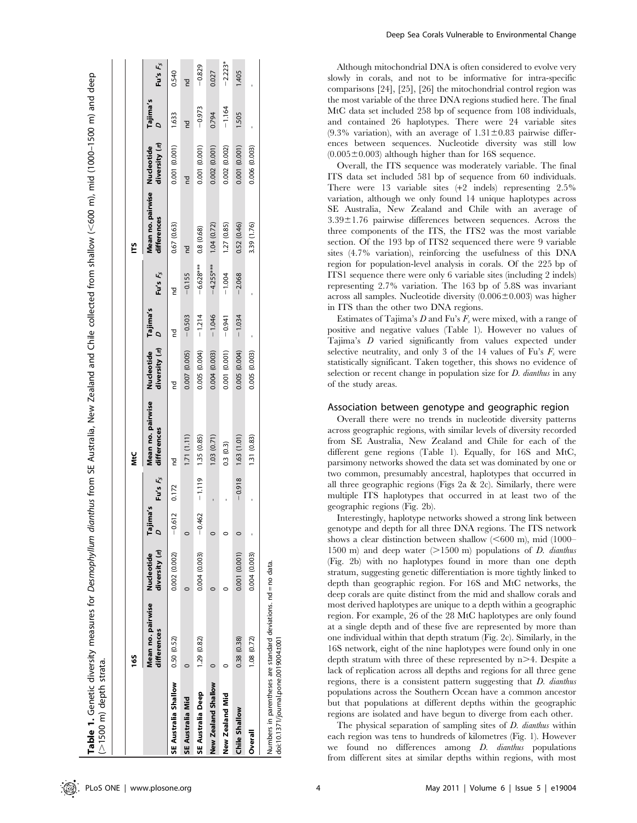| )<br>)<br>)                                                                                                              |                                             |
|--------------------------------------------------------------------------------------------------------------------------|---------------------------------------------|
|                                                                                                                          |                                             |
|                                                                                                                          |                                             |
|                                                                                                                          |                                             |
| I                                                                                                                        |                                             |
|                                                                                                                          |                                             |
|                                                                                                                          |                                             |
| $\tau$ and $\tau$ and $\tau$ and $\tau$ and $\tau$ and $\tau$                                                            |                                             |
|                                                                                                                          |                                             |
|                                                                                                                          |                                             |
|                                                                                                                          |                                             |
|                                                                                                                          |                                             |
|                                                                                                                          |                                             |
|                                                                                                                          |                                             |
| ה ומות הם ה                                                                                                              |                                             |
|                                                                                                                          |                                             |
|                                                                                                                          |                                             |
|                                                                                                                          |                                             |
| is pas look                                                                                                              |                                             |
|                                                                                                                          |                                             |
| <b>ISLI SYSSUS SURVEY SILS SILSIDSUN AASAFI SILSID</b>                                                                   |                                             |
|                                                                                                                          |                                             |
| <br> <br>                                                                                                                |                                             |
|                                                                                                                          |                                             |
| )<br>}<br>}                                                                                                              |                                             |
| 5                                                                                                                        |                                             |
|                                                                                                                          |                                             |
|                                                                                                                          |                                             |
|                                                                                                                          |                                             |
| ֧֦֧֦֧֦֧֧ׅ֦֧ׅ֧ׅ֧ׅ֧ׅ֧ׅ֧ׅ֧ׅ֧֧ׅ֧ׅ֧֧֛֚֚֚֚֚֚֚֚֚֝֝֝֝֜֝֜֜֜֓֟֓֟֓֝֬֜֓֜֝֬֜֓֜֝֬֜֜֝֬֝֬֝֬֝֬֝֬֝֬֜֜֝֬֝<br>֧֧֧֧֧֧֧֧֚֚֚֚֚֚֚֚֚֚֚֚֚֚֝֝֝֝֝֝֬֝ |                                             |
| うこうこうりこう                                                                                                                 |                                             |
|                                                                                                                          |                                             |
|                                                                                                                          |                                             |
| ;<br>)                                                                                                                   |                                             |
|                                                                                                                          | 5<br>5<br>5<br>5<br>5<br>5<br><b>C+c+t+</b> |
| בסבר הייני הייני הייני הייני הייני הייני הייני הייני הייני הייני הייני הייני הייני הייני הייני הייני הייני היי<br>ミラノこり・ | )<br>)<br>)<br>)                            |
| able 1. Gen                                                                                                              |                                             |
|                                                                                                                          | $\sim 150$                                  |
|                                                                                                                          |                                             |

|                                                                                                        | 165                              |                                    |             |            | ž                                |                                      |          |             | Ľ                                           |               |          |            |
|--------------------------------------------------------------------------------------------------------|----------------------------------|------------------------------------|-------------|------------|----------------------------------|--------------------------------------|----------|-------------|---------------------------------------------|---------------|----------|------------|
|                                                                                                        | Mean no. pairwise<br>differences | diversity (x)<br><b>Nucleotide</b> | ma's<br>ĨēT | Fu's $F_S$ | Mean no. pairwise<br>differences | Nucleotide Tajima's<br>diversity (z) |          | Fu's $F_S$  | Mean no. pairwise Nucleotide<br>differences | diversity (z) | Tajima's | Fu's $F_S$ |
| SE Australia Shallow 0.50 (0.52)                                                                       |                                  | 0.002 (0.002)                      | $-0.612$    | 0.172      | 2                                | 2                                    | 2        | g           | 0.67(0.63)                                  | 0.001 (0.001) | 1,633    | 0.540      |
| SE Australia Mid                                                                                       |                                  |                                    |             |            | 1.71(1.11)                       | 0.007 (0.005)                        | $-0.503$ | $-0.155$    | g                                           | p             | 2        | 2          |
| SE Australia Deep                                                                                      | 1.29 (0.82)                      | 0.004 (0.003)                      | $-0.462$    | $-1.119$   | 1.35 (0.85)                      | 0.005 (0.004)                        | $-1.214$ | $-6.628***$ | 0.8(0.68)                                   | 0.001 (0.001) | $-0.973$ | $-0.829$   |
| New Zealand Shallow                                                                                    |                                  |                                    |             |            | 1.03(0.71)                       | 0.004 (0.003)                        | $-1.046$ | $-4.255***$ | 1.04(0.72)                                  | 0.002 (0.001) | 0.794    | 0.027      |
| New Zealand Mid                                                                                        |                                  |                                    |             |            | 0.3(0.3)                         | 0.001 (0.001)                        | $-0.941$ | $-1.004$    | 1.27 (0.85)                                 | 0.002 (0.002) | $-1.164$ | $-2.223*$  |
| Chile Shallow                                                                                          | 0.38(0.38)                       | 0.001 (0.001)                      |             | $-0.918$   | 1.63(1.01)                       | 0.005 (0.004)                        | $-1.034$ | $-2.068$    | 0.52 (0.46)                                 | 0.001 (0.001) | 1.505    | .405       |
| Overall                                                                                                | 1.08(0.72)                       | 0.004 (0.003)                      |             |            | 1.31 (0.83)                      | 0.005 (0.003)                        |          |             | 3.39 (1.76)                                 | 0.006 (0.003) |          |            |
| Numbers in parentheses are standard deviations. nd = no data.<br>doi:10.1371/journal.pone.0019004.t001 |                                  |                                    |             |            |                                  |                                      |          |             |                                             |               |          |            |

Although mitochondrial DNA is often considered to evolve very slowly in corals, and not to be informative for intra-specific comparisons [24], [25], [26] the mitochondrial control region was the most variable of the three DNA regions studied here. The final MtC data set included 258 bp of sequence from 108 individuals, and contained 26 haplotypes. There were 24 variable sites  $(9.3\%$  variation), with an average of  $1.31\pm0.83$  pairwise differences between sequences. Nucleotide diversity was still low  $(0.005 \pm 0.003)$  although higher than for 16S sequence.

Overall, the ITS sequence was moderately variable. The final ITS data set included 581 bp of sequence from 60 individuals. There were 13 variable sites (+2 indels) representing 2.5% variation, although we only found 14 unique haplotypes across SE Australia, New Zealand and Chile with an average of  $3.39\pm1.76$  pairwise differences between sequences. Across the three components of the ITS, the ITS2 was the most variable section. Of the 193 bp of ITS2 sequenced there were 9 variable sites (4.7% variation), reinforcing the usefulness of this DNA region for population-level analysis in corals. Of the 225 bp of ITS1 sequence there were only 6 variable sites (including 2 indels) representing 2.7% variation. The 163 bp of 5.8S was invariant across all samples. Nucleotide diversity  $(0.006\pm0.003)$  was higher in ITS than the other two DNA regions.

Estimates of Tajima's  $D$  and Fu's  $F_s$  were mixed, with a range of positive and negative values (Table 1). However no values of Tajima's D varied significantly from values expected under selective neutrality, and only 3 of the 14 values of Fu's  $F_s$  were statistically significant. Taken together, this shows no evidence of selection or recent change in population size for D. dianthus in any of the study areas.

## Association between genotype and geographic region

Overall there were no trends in nucleotide diversity patterns across geographic regions, with similar levels of diversity recorded from SE Australia, New Zealand and Chile for each of the different gene regions (Table 1). Equally, for 16S and MtC, parsimony networks showed the data set was dominated by one or two common, presumably ancestral, haplotypes that occurred in all three geographic regions (Figs 2a & 2c). Similarly, there were multiple ITS haplotypes that occurred in at least two of the geographic regions (Fig. 2b).

Interestingly, haplotype networks showed a strong link between genotype and depth for all three DNA regions. The ITS network shows a clear distinction between shallow  $(<600$  m), mid (1000– 1500 m) and deep water  $(>1500 \text{ m})$  populations of *D. dianthus* (Fig. 2b) with no haplotypes found in more than one depth stratum, suggesting genetic differentiation is more tightly linked to depth than geographic region. For 16S and MtC networks, the deep corals are quite distinct from the mid and shallow corals and most derived haplotypes are unique to a depth within a geographic region. For example, 26 of the 28 MtC haplotypes are only found at a single depth and of these five are represented by more than one individual within that depth stratum (Fig. 2c). Similarly, in the 16S network, eight of the nine haplotypes were found only in one depth stratum with three of these represented by  $n \geq 4$ . Despite a lack of replication across all depths and regions for all three gene regions, there is a consistent pattern suggesting that  $D$ . dianthus populations across the Southern Ocean have a common ancestor but that populations at different depths within the geographic regions are isolated and have begun to diverge from each other.

The physical separation of sampling sites of  $D$ . *dianthus* within each region was tens to hundreds of kilometres (Fig. 1). However we found no differences among *D. dianthus* populations from different sites at similar depths within regions, with most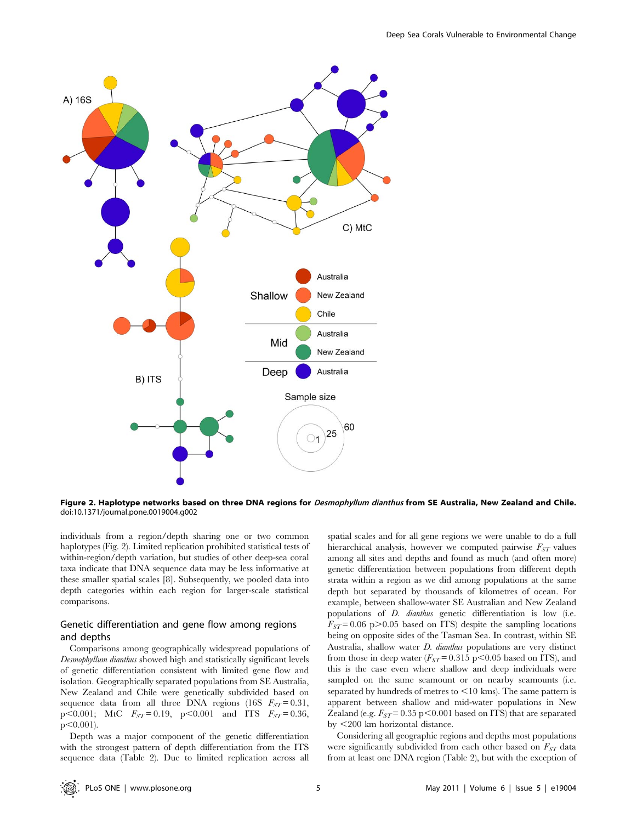

Figure 2. Haplotype networks based on three DNA regions for Desmophyllum dianthus from SE Australia, New Zealand and Chile. doi:10.1371/journal.pone.0019004.g002

individuals from a region/depth sharing one or two common haplotypes (Fig. 2). Limited replication prohibited statistical tests of within-region/depth variation, but studies of other deep-sea coral taxa indicate that DNA sequence data may be less informative at these smaller spatial scales [8]. Subsequently, we pooled data into depth categories within each region for larger-scale statistical comparisons.

# Genetic differentiation and gene flow among regions and depths

Comparisons among geographically widespread populations of Desmophyllum dianthus showed high and statistically significant levels of genetic differentiation consistent with limited gene flow and isolation. Geographically separated populations from SE Australia, New Zealand and Chile were genetically subdivided based on sequence data from all three DNA regions (16S  $F_{ST} = 0.31$ , p $\leq 0.001$ ; MtC  $F_{ST} = 0.19$ , p $\leq 0.001$  and ITS  $F_{ST} = 0.36$ ,  $p<0.001$ ).

Depth was a major component of the genetic differentiation with the strongest pattern of depth differentiation from the ITS sequence data (Table 2). Due to limited replication across all

spatial scales and for all gene regions we were unable to do a full hierarchical analysis, however we computed pairwise  $F_{ST}$  values among all sites and depths and found as much (and often more) genetic differentiation between populations from different depth strata within a region as we did among populations at the same depth but separated by thousands of kilometres of ocean. For example, between shallow-water SE Australian and New Zealand populations of D. dianthus genetic differentiation is low (i.e.  $F_{ST}$ = 0.06 p>0.05 based on ITS) despite the sampling locations being on opposite sides of the Tasman Sea. In contrast, within SE Australia, shallow water D. dianthus populations are very distinct from those in deep water ( $F_{ST}$ = 0.315 p<0.05 based on ITS), and this is the case even where shallow and deep individuals were sampled on the same seamount or on nearby seamounts (i.e. separated by hundreds of metres to  $<$ 10 kms). The same pattern is apparent between shallow and mid-water populations in New Zealand (e.g.  $F_{ST}$  = 0.35 p < 0.001 based on ITS) that are separated by  $\leq$ 200 km horizontal distance.

Considering all geographic regions and depths most populations were significantly subdivided from each other based on  $F_{ST}$  data from at least one DNA region (Table 2), but with the exception of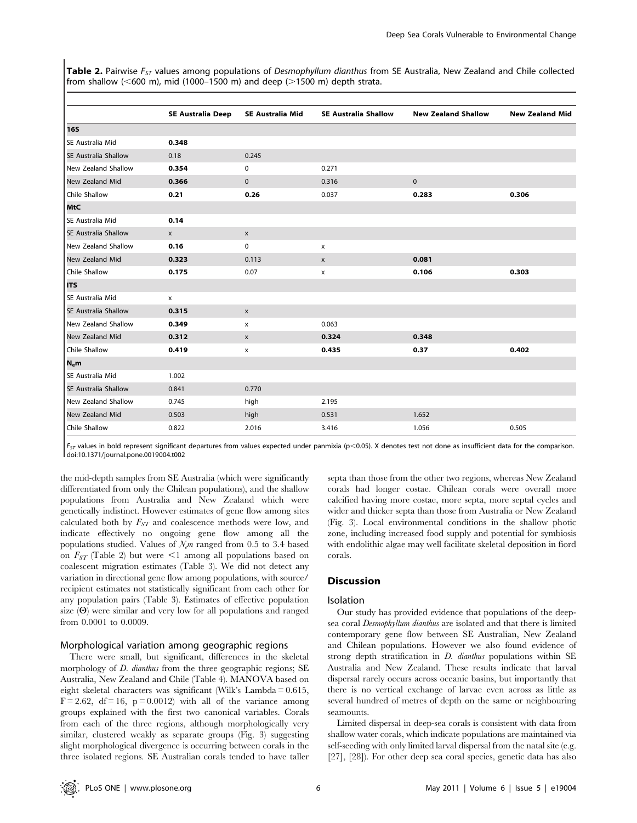Table 2. Pairwise  $F_{ST}$  values among populations of Desmophyllum dianthus from SE Australia, New Zealand and Chile collected from shallow ( $<$  600 m), mid (1000–1500 m) and deep ( $>$ 1500 m) depth strata.

|                             | <b>SE Australia Deep</b> | <b>SE Australia Mid</b>   | <b>SE Australia Shallow</b> | <b>New Zealand Shallow</b> | <b>New Zealand Mid</b> |
|-----------------------------|--------------------------|---------------------------|-----------------------------|----------------------------|------------------------|
| 16S                         |                          |                           |                             |                            |                        |
| SE Australia Mid            | 0.348                    |                           |                             |                            |                        |
| <b>SE Australia Shallow</b> | 0.18                     | 0.245                     |                             |                            |                        |
| New Zealand Shallow         | 0.354                    | 0                         | 0.271                       |                            |                        |
| New Zealand Mid             | 0.366                    | $\pmb{0}$                 | 0.316                       | $\mathbf 0$                |                        |
| <b>Chile Shallow</b>        | 0.21                     | 0.26                      | 0.037                       | 0.283                      | 0.306                  |
| <b>MtC</b>                  |                          |                           |                             |                            |                        |
| SE Australia Mid            | 0.14                     |                           |                             |                            |                        |
| <b>SE Australia Shallow</b> | X                        | $\pmb{\chi}$              |                             |                            |                        |
| New Zealand Shallow         | 0.16                     | $\pmb{0}$                 | $\pmb{\times}$              |                            |                        |
| New Zealand Mid             | 0.323                    | 0.113                     | $\pmb{\times}$              | 0.081                      |                        |
| <b>Chile Shallow</b>        | 0.175                    | 0.07                      | $\pmb{\times}$              | 0.106                      | 0.303                  |
| <b>ITS</b>                  |                          |                           |                             |                            |                        |
| SE Australia Mid            | X                        |                           |                             |                            |                        |
| SE Australia Shallow        | 0.315                    | $\boldsymbol{\mathsf{x}}$ |                             |                            |                        |
| New Zealand Shallow         | 0.349                    | X                         | 0.063                       |                            |                        |
| New Zealand Mid             | 0.312                    | X                         | 0.324                       | 0.348                      |                        |
| <b>Chile Shallow</b>        | 0.419                    | $\pmb{\mathsf{x}}$        | 0.435                       | 0.37                       | 0.402                  |
| $N_{\rm e}$ m               |                          |                           |                             |                            |                        |
| SE Australia Mid            | 1.002                    |                           |                             |                            |                        |
| <b>SE Australia Shallow</b> | 0.841                    | 0.770                     |                             |                            |                        |
| New Zealand Shallow         | 0.745                    | high                      | 2.195                       |                            |                        |
| New Zealand Mid             | 0.503                    | high                      | 0.531                       | 1.652                      |                        |
| <b>Chile Shallow</b>        | 0.822                    | 2.016                     | 3.416                       | 1.056                      | 0.505                  |

 $F_{ST}$  values in bold represent significant departures from values expected under panmixia (p<0.05). X denotes test not done as insufficient data for the comparison. doi:10.1371/journal.pone.0019004.t002

the mid-depth samples from SE Australia (which were significantly differentiated from only the Chilean populations), and the shallow populations from Australia and New Zealand which were genetically indistinct. However estimates of gene flow among sites calculated both by  $F_{ST}$  and coalescence methods were low, and indicate effectively no ongoing gene flow among all the populations studied. Values of  $\mathcal{N}_{e}$ m ranged from 0.5 to 3.4 based on  $F_{ST}$  (Table 2) but were  $\leq 1$  among all populations based on coalescent migration estimates (Table 3). We did not detect any variation in directional gene flow among populations, with source/ recipient estimates not statistically significant from each other for any population pairs (Table 3). Estimates of effective population size  $(\Theta)$  were similar and very low for all populations and ranged from 0.0001 to 0.0009.

## Morphological variation among geographic regions

There were small, but significant, differences in the skeletal morphology of *D. dianthus* from the three geographic regions; SE Australia, New Zealand and Chile (Table 4). MANOVA based on eight skeletal characters was significant (Wilk's Lambda = 0.615,  $F = 2.62$ , df = 16, p = 0.0012) with all of the variance among groups explained with the first two canonical variables. Corals from each of the three regions, although morphologically very similar, clustered weakly as separate groups (Fig. 3) suggesting slight morphological divergence is occurring between corals in the three isolated regions. SE Australian corals tended to have taller

septa than those from the other two regions, whereas New Zealand corals had longer costae. Chilean corals were overall more calcified having more costae, more septa, more septal cycles and wider and thicker septa than those from Australia or New Zealand (Fig. 3). Local environmental conditions in the shallow photic zone, including increased food supply and potential for symbiosis with endolithic algae may well facilitate skeletal deposition in fiord corals.

## **Discussion**

## Isolation

Our study has provided evidence that populations of the deepsea coral Desmophyllum dianthus are isolated and that there is limited contemporary gene flow between SE Australian, New Zealand and Chilean populations. However we also found evidence of strong depth stratification in D. dianthus populations within SE Australia and New Zealand. These results indicate that larval dispersal rarely occurs across oceanic basins, but importantly that there is no vertical exchange of larvae even across as little as several hundred of metres of depth on the same or neighbouring seamounts.

Limited dispersal in deep-sea corals is consistent with data from shallow water corals, which indicate populations are maintained via self-seeding with only limited larval dispersal from the natal site (e.g. [27], [28]). For other deep sea coral species, genetic data has also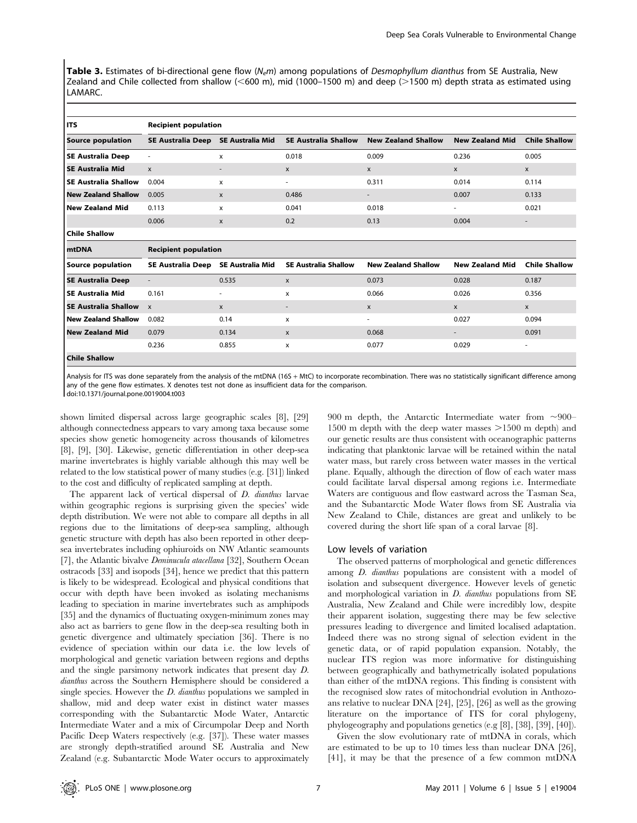Table 3. Estimates of bi-directional gene flow  $(N_e m)$  among populations of Desmophyllum dianthus from SE Australia, New Zealand and Chile collected from shallow ( $<$ 600 m), mid (1000–1500 m) and deep ( $>$ 1500 m) depth strata as estimated using LAMARC.

| <b>ITS</b>                  | <b>Recipient population</b> |                          |                             |                            |                          |                          |  |
|-----------------------------|-----------------------------|--------------------------|-----------------------------|----------------------------|--------------------------|--------------------------|--|
| <b>Source population</b>    | SE Australia Deep           | <b>SE Australia Mid</b>  | <b>SE Australia Shallow</b> | <b>New Zealand Shallow</b> | <b>New Zealand Mid</b>   | <b>Chile Shallow</b>     |  |
| <b>SE Australia Deep</b>    | ٠                           | x                        | 0.018                       | 0.009                      | 0.236                    | 0.005                    |  |
| <b>SE Australia Mid</b>     | $\mathsf{x}$                | $\overline{\phantom{a}}$ | X                           | $\mathsf{x}$               | $\mathsf{x}$             | $\mathsf{x}$             |  |
| <b>SE Australia Shallow</b> | 0.004                       | x                        | ٠                           | 0.311                      | 0.014                    | 0.114                    |  |
| <b>New Zealand Shallow</b>  | 0.005                       | X                        | 0.486                       | $\overline{\phantom{a}}$   | 0.007                    | 0.133                    |  |
| <b>New Zealand Mid</b>      | 0.113                       | X                        | 0.041                       | 0.018                      | $\overline{\phantom{0}}$ | 0.021                    |  |
|                             | 0.006                       | X                        | 0.2                         | 0.13                       | 0.004                    | $\overline{\phantom{a}}$ |  |
| <b>Chile Shallow</b>        |                             |                          |                             |                            |                          |                          |  |
| <b>mtDNA</b>                | <b>Recipient population</b> |                          |                             |                            |                          |                          |  |
|                             |                             |                          |                             |                            |                          |                          |  |
| Source population           | SE Australia Deep           | <b>SE Australia Mid</b>  | <b>SE Australia Shallow</b> | <b>New Zealand Shallow</b> | <b>New Zealand Mid</b>   | <b>Chile Shallow</b>     |  |
| <b>SE Australia Deep</b>    | $\sim$                      | 0.535                    | $\mathsf{x}$                | 0.073                      | 0.028                    | 0.187                    |  |
| <b>SE Australia Mid</b>     | 0.161                       | $\overline{\phantom{a}}$ | X                           | 0.066                      | 0.026                    | 0.356                    |  |
| <b>SE Australia Shallow</b> | $\mathbf{x}$                | $\mathsf{x}$             | $\overline{\phantom{a}}$    | X                          | $\mathsf{x}$             | $\mathsf{x}$             |  |
| <b>New Zealand Shallow</b>  | 0.082                       | 0.14                     | x                           | $\sim$                     | 0.027                    | 0.094                    |  |
| <b>New Zealand Mid</b>      | 0.079                       | 0.134                    | $\mathsf{x}$                | 0.068                      | ۰                        | 0.091                    |  |
|                             | 0.236                       | 0.855                    | x                           | 0.077                      | 0.029                    | ٠                        |  |

Analysis for ITS was done separately from the analysis of the mtDNA (16S + MtC) to incorporate recombination. There was no statistically significant difference among any of the gene flow estimates. X denotes test not done as insufficient data for the comparison.

doi:10.1371/journal.pone.0019004.t003

shown limited dispersal across large geographic scales [8], [29] although connectedness appears to vary among taxa because some species show genetic homogeneity across thousands of kilometres [8], [9], [30]. Likewise, genetic differentiation in other deep-sea marine invertebrates is highly variable although this may well be related to the low statistical power of many studies (e.g. [31]) linked to the cost and difficulty of replicated sampling at depth.

The apparent lack of vertical dispersal of D. dianthus larvae within geographic regions is surprising given the species' wide depth distribution. We were not able to compare all depths in all regions due to the limitations of deep-sea sampling, although genetic structure with depth has also been reported in other deepsea invertebrates including ophiuroids on NW Atlantic seamounts [7], the Atlantic bivalve Deminucula atacellana [32], Southern Ocean ostracods [33] and isopods [34], hence we predict that this pattern is likely to be widespread. Ecological and physical conditions that occur with depth have been invoked as isolating mechanisms leading to speciation in marine invertebrates such as amphipods [35] and the dynamics of fluctuating oxygen-minimum zones may also act as barriers to gene flow in the deep-sea resulting both in genetic divergence and ultimately speciation [36]. There is no evidence of speciation within our data i.e. the low levels of morphological and genetic variation between regions and depths and the single parsimony network indicates that present day D. dianthus across the Southern Hemisphere should be considered a single species. However the *D. dianthus* populations we sampled in shallow, mid and deep water exist in distinct water masses corresponding with the Subantarctic Mode Water, Antarctic Intermediate Water and a mix of Circumpolar Deep and North Pacific Deep Waters respectively (e.g. [37]). These water masses are strongly depth-stratified around SE Australia and New Zealand (e.g. Subantarctic Mode Water occurs to approximately

900 m depth, the Antarctic Intermediate water from  $\sim$ 900– 1500 m depth with the deep water masses  $>1500$  m depth) and our genetic results are thus consistent with oceanographic patterns indicating that planktonic larvae will be retained within the natal water mass, but rarely cross between water masses in the vertical plane. Equally, although the direction of flow of each water mass could facilitate larval dispersal among regions i.e. Intermediate Waters are contiguous and flow eastward across the Tasman Sea, and the Subantarctic Mode Water flows from SE Australia via New Zealand to Chile, distances are great and unlikely to be covered during the short life span of a coral larvae [8].

#### Low levels of variation

The observed patterns of morphological and genetic differences among D. dianthus populations are consistent with a model of isolation and subsequent divergence. However levels of genetic and morphological variation in  $D$ . *dianthus* populations from SE Australia, New Zealand and Chile were incredibly low, despite their apparent isolation, suggesting there may be few selective pressures leading to divergence and limited localised adaptation. Indeed there was no strong signal of selection evident in the genetic data, or of rapid population expansion. Notably, the nuclear ITS region was more informative for distinguishing between geographically and bathymetrically isolated populations than either of the mtDNA regions. This finding is consistent with the recognised slow rates of mitochondrial evolution in Anthozoans relative to nuclear DNA [24], [25], [26] as well as the growing literature on the importance of ITS for coral phylogeny, phylogeography and populations genetics (e.g [8], [38], [39], [40]).

Given the slow evolutionary rate of mtDNA in corals, which are estimated to be up to 10 times less than nuclear DNA [26], [41], it may be that the presence of a few common mtDNA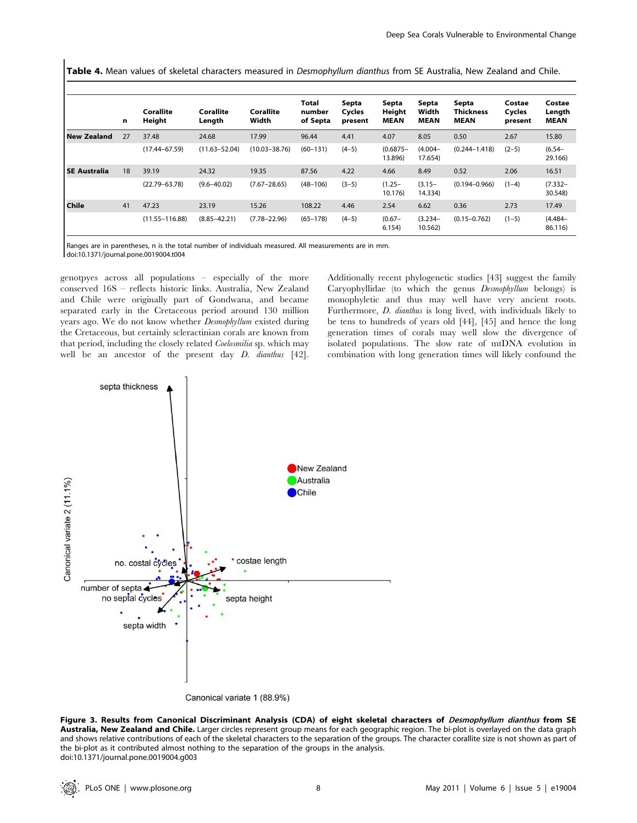Table 4. Mean values of skeletal characters measured in Desmophyllum dianthus from SE Australia, New Zealand and Chile.

|                | n  | Corallite<br>Height | Corallite<br>Length | Corallite<br>Width | Total<br>number<br>of Septa | Septa<br>Cycles<br>present | Septa<br>Height<br><b>MEAN</b> | Septa<br>Width<br><b>MEAN</b> | Septa<br><b>Thickness</b><br><b>MEAN</b> | Costae<br>Cycles<br>present | Costae<br>Length<br><b>MEAN</b> |
|----------------|----|---------------------|---------------------|--------------------|-----------------------------|----------------------------|--------------------------------|-------------------------------|------------------------------------------|-----------------------------|---------------------------------|
| New Zealand    | 27 | 37.48               | 24.68               | 17.99              | 96.44                       | 4.41                       | 4.07                           | 8.05                          | 0.50                                     | 2.67                        | 15.80                           |
|                |    | $(17.44 - 67.59)$   | $(11.63 - 52.04)$   | $(10.03 - 38.76)$  | $(60 - 131)$                | $(4-5)$                    | $(0.6875 -$<br>13.896)         | $(4.004 -$<br>17.654)         | $(0.244 - 1.418)$                        | $(2-5)$                     | $(6.54 -$<br>29.166)            |
| l SE Australia | 18 | 39.19               | 24.32               | 19.35              | 87.56                       | 4.22                       | 4.66                           | 8.49                          | 0.52                                     | 2.06                        | 16.51                           |
|                |    | $(22.79 - 63.78)$   | $(9.6 - 40.02)$     | $(7.67 - 28.65)$   | $(48 - 106)$                | $(3-5)$                    | $(1.25 -$<br>10.176)           | $(3.15 -$<br>14.334)          | $(0.194 - 0.966)$                        | $(1-4)$                     | $(7.332 -$<br>30.548)           |
| l Chile        | 41 | 47.23               | 23.19               | 15.26              | 108.22                      | 4.46                       | 2.54                           | 6.62                          | 0.36                                     | 2.73                        | 17.49                           |
|                |    | $(11.55 - 116.88)$  | $(8.85 - 42.21)$    | $(7.78 - 22.96)$   | $(65 - 178)$                | $(4-5)$                    | $(0.67 -$<br>6.154)            | $(3.234 -$<br>10.562)         | $(0.15 - 0.762)$                         | $(1-5)$                     | $(4.484 -$<br>86.116)           |

Ranges are in parentheses, n is the total number of individuals measured. All measurements are in mm. doi:10.1371/journal.pone.0019004.t004

genotpyes across all populations – especially of the more conserved 16S – reflects historic links. Australia, New Zealand and Chile were originally part of Gondwana, and became separated early in the Cretaceous period around 130 million years ago. We do not know whether Desmophyllum existed during the Cretaceous, but certainly scleractinian corals are known from that period, including the closely related Coelosmilia sp. which may well be an ancestor of the present day D. dianthus [42].

Additionally recent phylogenetic studies [43] suggest the family Caryophyllidae (to which the genus Desmophyllum belongs) is monophyletic and thus may well have very ancient roots. Furthermore, D. dianthus is long lived, with individuals likely to be tens to hundreds of years old [44], [45] and hence the long generation times of corals may well slow the divergence of isolated populations. The slow rate of mtDNA evolution in combination with long generation times will likely confound the



Figure 3. Results from Canonical Discriminant Analysis (CDA) of eight skeletal characters of Desmophyllum dianthus from SE Australia, New Zealand and Chile. Larger circles represent group means for each geographic region. The bi-plot is overlayed on the data graph and shows relative contributions of each of the skeletal characters to the separation of the groups. The character corallite size is not shown as part of the bi-plot as it contributed almost nothing to the separation of the groups in the analysis. doi:10.1371/journal.pone.0019004.g003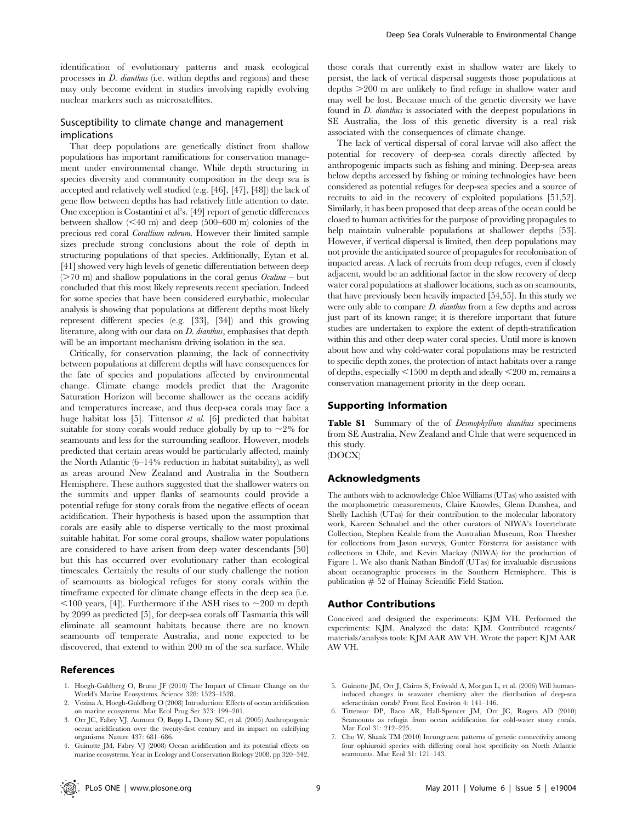identification of evolutionary patterns and mask ecological processes in D. dianthus (i.e. within depths and regions) and these may only become evident in studies involving rapidly evolving nuclear markers such as microsatellites.

## Susceptibility to climate change and management implications

That deep populations are genetically distinct from shallow populations has important ramifications for conservation management under environmental change. While depth structuring in species diversity and community composition in the deep sea is accepted and relatively well studied (e.g. [46], [47], [48]) the lack of gene flow between depths has had relatively little attention to date. One exception is Costantini et al's. [49] report of genetic differences between shallow  $( $40 \text{ m}$ )$  and deep (500–600 m) colonies of the precious red coral Corallium rubrum. However their limited sample sizes preclude strong conclusions about the role of depth in structuring populations of that species. Additionally, Eytan et al. [41] showed very high levels of genetic differentiation between deep  $($ >70 m) and shallow populations in the coral genus *Oculina* – but concluded that this most likely represents recent speciation. Indeed for some species that have been considered eurybathic, molecular analysis is showing that populations at different depths most likely represent different species (e.g. [33], [34]) and this growing literature, along with our data on *D. dianthus*, emphasises that depth will be an important mechanism driving isolation in the sea.

Critically, for conservation planning, the lack of connectivity between populations at different depths will have consequences for the fate of species and populations affected by environmental change. Climate change models predict that the Aragonite Saturation Horizon will become shallower as the oceans acidify and temperatures increase, and thus deep-sea corals may face a huge habitat loss [5]. Tittensor et al. [6] predicted that habitat suitable for stony corals would reduce globally by up to  $\sim 2\%$  for seamounts and less for the surrounding seafloor. However, models predicted that certain areas would be particularly affected, mainly the North Atlantic (6–14% reduction in habitat suitability), as well as areas around New Zealand and Australia in the Southern Hemisphere. These authors suggested that the shallower waters on the summits and upper flanks of seamounts could provide a potential refuge for stony corals from the negative effects of ocean acidification. Their hypothesis is based upon the assumption that corals are easily able to disperse vertically to the most proximal suitable habitat. For some coral groups, shallow water populations are considered to have arisen from deep water descendants [50] but this has occurred over evolutionary rather than ecological timescales. Certainly the results of our study challenge the notion of seamounts as biological refuges for stony corals within the timeframe expected for climate change effects in the deep sea (i.e.  $\leq$ 100 years, [4]). Furthermore if the ASH rises to  $\sim$ 200 m depth by 2099 as predicted [5], for deep-sea corals off Tasmania this will eliminate all seamount habitats because there are no known seamounts off temperate Australia, and none expected to be discovered, that extend to within 200 m of the sea surface. While

## References

- 1. Hoegh-Guldberg O, Bruno JF (2010) The Impact of Climate Change on the World's Marine Ecosystems. Science 328: 1523–1528.
- 2. Vezina A, Hoegh-Guldberg O (2008) Introduction: Effects of ocean acidification
- on marine ecosystems. Mar Ecol Prog Ser 373: 199–201. 3. Orr JC, Fabry VJ, Aumont O, Bopp L, Doney SC, et al. (2005) Anthropogenic
- ocean acidification over the twenty-first century and its impact on calcifying organisms. Nature 437: 681–686. 4. Guinotte JM, Fabry VJ (2008) Ocean acidification and its potential effects on
- marine ecosystems. Year in Ecology and Conservation Biology 2008. pp 320–342.

those corals that currently exist in shallow water are likely to persist, the lack of vertical dispersal suggests those populations at depths  $>200$  m are unlikely to find refuge in shallow water and may well be lost. Because much of the genetic diversity we have found in D. dianthus is associated with the deepest populations in SE Australia, the loss of this genetic diversity is a real risk associated with the consequences of climate change.

The lack of vertical dispersal of coral larvae will also affect the potential for recovery of deep-sea corals directly affected by anthropogenic impacts such as fishing and mining. Deep-sea areas below depths accessed by fishing or mining technologies have been considered as potential refuges for deep-sea species and a source of recruits to aid in the recovery of exploited populations [51,52]. Similarly, it has been proposed that deep areas of the ocean could be closed to human activities for the purpose of providing propagules to help maintain vulnerable populations at shallower depths [53]. However, if vertical dispersal is limited, then deep populations may not provide the anticipated source of propagules for recolonisation of impacted areas. A lack of recruits from deep refuges, even if closely adjacent, would be an additional factor in the slow recovery of deep water coral populations at shallower locations, such as on seamounts, that have previously been heavily impacted [54,55]. In this study we were only able to compare *D. dianthus* from a few depths and across just part of its known range; it is therefore important that future studies are undertaken to explore the extent of depth-stratification within this and other deep water coral species. Until more is known about how and why cold-water coral populations may be restricted to specific depth zones, the protection of intact habitats over a range of depths, especially  $\leq$ 1500 m depth and ideally  $\leq$ 200 m, remains a conservation management priority in the deep ocean.

### Supporting Information

Table S1 Summary of the of Desmophyllum dianthus specimens from SE Australia, New Zealand and Chile that were sequenced in this study. (DOCX)

## Acknowledgments

The authors wish to acknowledge Chloe Williams (UTas) who assisted with the morphometric measurements, Claire Knowles, Glenn Dunshea, and Shelly Lachish (UTas) for their contribution to the molecular laboratory work, Kareen Schnabel and the other curators of NIWA's Invertebrate Collection, Stephen Keable from the Australian Museum, Ron Thresher for collections from Jason surveys, Gunter Försterra for assistance with collections in Chile, and Kevin Mackay (NIWA) for the production of Figure 1. We also thank Nathan Bindoff (UTas) for invaluable discussions about oceanographic processes in the Southern Hemisphere. This is publication  $# 52$  of Huinay Scientific Field Station.

#### Author Contributions

Conceived and designed the experiments: KJM VH. Performed the experiments: KJM. Analyzed the data: KJM. Contributed reagents/ materials/analysis tools: KJM AAR AW VH. Wrote the paper: KJM AAR AW VH.

- 5. Guinotte JM, Orr J, Cairns S, Freiwald A, Morgan L, et al. (2006) Will humaninduced changes in seawater chemistry alter the distribution of deep-sea scleractinian corals? Front Ecol Environ 4: 141–146.
- 6. Tittensor DP, Baco AR, Hall-Spencer JM, Orr JC, Rogers AD (2010) Seamounts as refugia from ocean acidification for cold-water stony corals. Mar Ecol 31: 212–225.
- 7. Cho W, Shank TM (2010) Incongruent patterns of genetic connectivity among four ophiuroid species with differing coral host specificity on North Atlantic seamounts. Mar Ecol 31: 121–143.